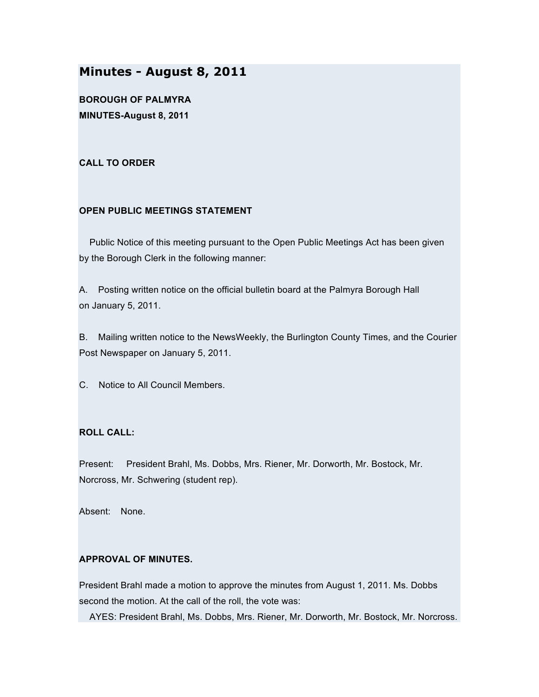# **Minutes - August 8, 2011**

**BOROUGH OF PALMYRA MINUTES-August 8, 2011**

## **CALL TO ORDER**

## **OPEN PUBLIC MEETINGS STATEMENT**

Public Notice of this meeting pursuant to the Open Public Meetings Act has been given by the Borough Clerk in the following manner:

A. Posting written notice on the official bulletin board at the Palmyra Borough Hall on January 5, 2011.

B. Mailing written notice to the NewsWeekly, the Burlington County Times, and the Courier Post Newspaper on January 5, 2011.

C. Notice to All Council Members.

## **ROLL CALL:**

Present: President Brahl, Ms. Dobbs, Mrs. Riener, Mr. Dorworth, Mr. Bostock, Mr. Norcross, Mr. Schwering (student rep).

Absent: None.

## **APPROVAL OF MINUTES.**

President Brahl made a motion to approve the minutes from August 1, 2011. Ms. Dobbs second the motion. At the call of the roll, the vote was:

AYES: President Brahl, Ms. Dobbs, Mrs. Riener, Mr. Dorworth, Mr. Bostock, Mr. Norcross.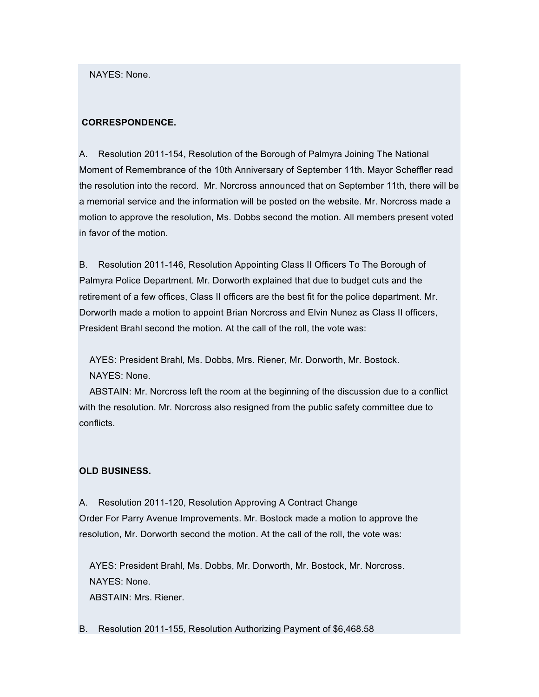NAYES: None.

### **CORRESPONDENCE.**

A. Resolution 2011-154, Resolution of the Borough of Palmyra Joining The National Moment of Remembrance of the 10th Anniversary of September 11th. Mayor Scheffler read the resolution into the record. Mr. Norcross announced that on September 11th, there will be a memorial service and the information will be posted on the website. Mr. Norcross made a motion to approve the resolution, Ms. Dobbs second the motion. All members present voted in favor of the motion.

B. Resolution 2011-146, Resolution Appointing Class II Officers To The Borough of Palmyra Police Department. Mr. Dorworth explained that due to budget cuts and the retirement of a few offices, Class II officers are the best fit for the police department. Mr. Dorworth made a motion to appoint Brian Norcross and Elvin Nunez as Class II officers, President Brahl second the motion. At the call of the roll, the vote was:

AYES: President Brahl, Ms. Dobbs, Mrs. Riener, Mr. Dorworth, Mr. Bostock. NAYES: None.

ABSTAIN: Mr. Norcross left the room at the beginning of the discussion due to a conflict with the resolution. Mr. Norcross also resigned from the public safety committee due to conflicts.

## **OLD BUSINESS.**

A. Resolution 2011-120, Resolution Approving A Contract Change Order For Parry Avenue Improvements. Mr. Bostock made a motion to approve the resolution, Mr. Dorworth second the motion. At the call of the roll, the vote was:

AYES: President Brahl, Ms. Dobbs, Mr. Dorworth, Mr. Bostock, Mr. Norcross. NAYES: None.

ABSTAIN: Mrs. Riener.

B. Resolution 2011-155, Resolution Authorizing Payment of \$6,468.58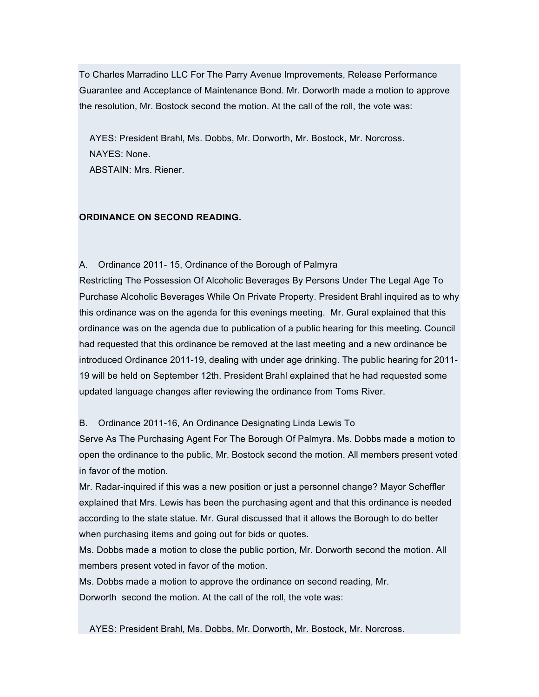To Charles Marradino LLC For The Parry Avenue Improvements, Release Performance Guarantee and Acceptance of Maintenance Bond. Mr. Dorworth made a motion to approve the resolution, Mr. Bostock second the motion. At the call of the roll, the vote was:

AYES: President Brahl, Ms. Dobbs, Mr. Dorworth, Mr. Bostock, Mr. Norcross. NAYES: None.

ABSTAIN: Mrs. Riener.

# **ORDINANCE ON SECOND READING.**

## A. Ordinance 2011- 15, Ordinance of the Borough of Palmyra

Restricting The Possession Of Alcoholic Beverages By Persons Under The Legal Age To Purchase Alcoholic Beverages While On Private Property. President Brahl inquired as to why this ordinance was on the agenda for this evenings meeting. Mr. Gural explained that this ordinance was on the agenda due to publication of a public hearing for this meeting. Council had requested that this ordinance be removed at the last meeting and a new ordinance be introduced Ordinance 2011-19, dealing with under age drinking. The public hearing for 2011- 19 will be held on September 12th. President Brahl explained that he had requested some updated language changes after reviewing the ordinance from Toms River.

## B. Ordinance 2011-16, An Ordinance Designating Linda Lewis To

Serve As The Purchasing Agent For The Borough Of Palmyra. Ms. Dobbs made a motion to open the ordinance to the public, Mr. Bostock second the motion. All members present voted in favor of the motion.

Mr. Radar-inquired if this was a new position or just a personnel change? Mayor Scheffler explained that Mrs. Lewis has been the purchasing agent and that this ordinance is needed according to the state statue. Mr. Gural discussed that it allows the Borough to do better when purchasing items and going out for bids or quotes.

Ms. Dobbs made a motion to close the public portion, Mr. Dorworth second the motion. All members present voted in favor of the motion.

Ms. Dobbs made a motion to approve the ordinance on second reading, Mr. Dorworth second the motion. At the call of the roll, the vote was:

AYES: President Brahl, Ms. Dobbs, Mr. Dorworth, Mr. Bostock, Mr. Norcross.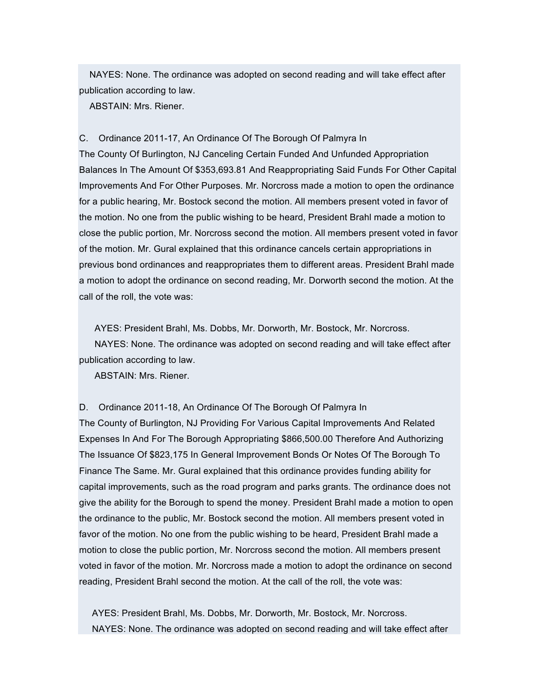NAYES: None. The ordinance was adopted on second reading and will take effect after publication according to law.

ABSTAIN: Mrs. Riener.

#### C. Ordinance 2011-17, An Ordinance Of The Borough Of Palmyra In

The County Of Burlington, NJ Canceling Certain Funded And Unfunded Appropriation Balances In The Amount Of \$353,693.81 And Reappropriating Said Funds For Other Capital Improvements And For Other Purposes. Mr. Norcross made a motion to open the ordinance for a public hearing, Mr. Bostock second the motion. All members present voted in favor of the motion. No one from the public wishing to be heard, President Brahl made a motion to close the public portion, Mr. Norcross second the motion. All members present voted in favor of the motion. Mr. Gural explained that this ordinance cancels certain appropriations in previous bond ordinances and reappropriates them to different areas. President Brahl made a motion to adopt the ordinance on second reading, Mr. Dorworth second the motion. At the call of the roll, the vote was:

AYES: President Brahl, Ms. Dobbs, Mr. Dorworth, Mr. Bostock, Mr. Norcross. NAYES: None. The ordinance was adopted on second reading and will take effect after publication according to law.

ABSTAIN: Mrs. Riener.

D. Ordinance 2011-18, An Ordinance Of The Borough Of Palmyra In

The County of Burlington, NJ Providing For Various Capital Improvements And Related Expenses In And For The Borough Appropriating \$866,500.00 Therefore And Authorizing The Issuance Of \$823,175 In General Improvement Bonds Or Notes Of The Borough To Finance The Same. Mr. Gural explained that this ordinance provides funding ability for capital improvements, such as the road program and parks grants. The ordinance does not give the ability for the Borough to spend the money. President Brahl made a motion to open the ordinance to the public, Mr. Bostock second the motion. All members present voted in favor of the motion. No one from the public wishing to be heard, President Brahl made a motion to close the public portion, Mr. Norcross second the motion. All members present voted in favor of the motion. Mr. Norcross made a motion to adopt the ordinance on second reading, President Brahl second the motion. At the call of the roll, the vote was:

AYES: President Brahl, Ms. Dobbs, Mr. Dorworth, Mr. Bostock, Mr. Norcross. NAYES: None. The ordinance was adopted on second reading and will take effect after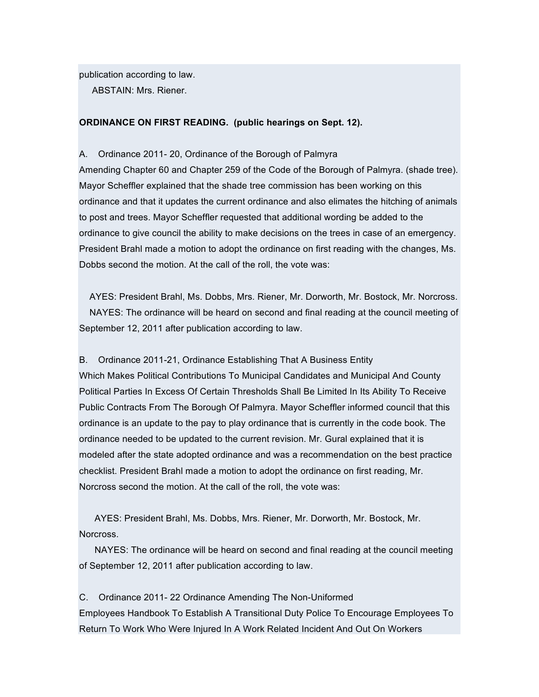publication according to law.

ABSTAIN: Mrs. Riener.

#### **ORDINANCE ON FIRST READING. (public hearings on Sept. 12).**

#### A. Ordinance 2011- 20, Ordinance of the Borough of Palmyra

Amending Chapter 60 and Chapter 259 of the Code of the Borough of Palmyra. (shade tree). Mayor Scheffler explained that the shade tree commission has been working on this ordinance and that it updates the current ordinance and also elimates the hitching of animals to post and trees. Mayor Scheffler requested that additional wording be added to the ordinance to give council the ability to make decisions on the trees in case of an emergency. President Brahl made a motion to adopt the ordinance on first reading with the changes, Ms. Dobbs second the motion. At the call of the roll, the vote was:

AYES: President Brahl, Ms. Dobbs, Mrs. Riener, Mr. Dorworth, Mr. Bostock, Mr. Norcross. NAYES: The ordinance will be heard on second and final reading at the council meeting of September 12, 2011 after publication according to law.

B. Ordinance 2011-21, Ordinance Establishing That A Business Entity Which Makes Political Contributions To Municipal Candidates and Municipal And County Political Parties In Excess Of Certain Thresholds Shall Be Limited In Its Ability To Receive Public Contracts From The Borough Of Palmyra. Mayor Scheffler informed council that this ordinance is an update to the pay to play ordinance that is currently in the code book. The ordinance needed to be updated to the current revision. Mr. Gural explained that it is modeled after the state adopted ordinance and was a recommendation on the best practice checklist. President Brahl made a motion to adopt the ordinance on first reading, Mr.

Norcross second the motion. At the call of the roll, the vote was:

AYES: President Brahl, Ms. Dobbs, Mrs. Riener, Mr. Dorworth, Mr. Bostock, Mr. Norcross.

NAYES: The ordinance will be heard on second and final reading at the council meeting of September 12, 2011 after publication according to law.

C. Ordinance 2011- 22 Ordinance Amending The Non-Uniformed Employees Handbook To Establish A Transitional Duty Police To Encourage Employees To Return To Work Who Were Injured In A Work Related Incident And Out On Workers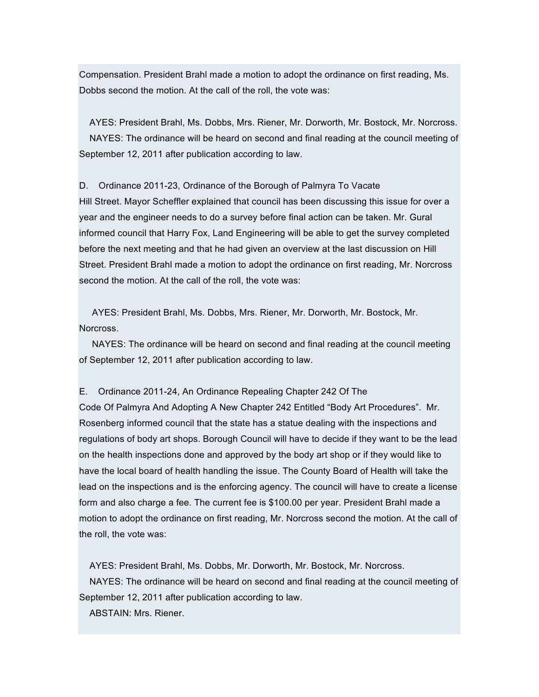Compensation. President Brahl made a motion to adopt the ordinance on first reading, Ms. Dobbs second the motion. At the call of the roll, the vote was:

AYES: President Brahl, Ms. Dobbs, Mrs. Riener, Mr. Dorworth, Mr. Bostock, Mr. Norcross. NAYES: The ordinance will be heard on second and final reading at the council meeting of September 12, 2011 after publication according to law.

D. Ordinance 2011-23, Ordinance of the Borough of Palmyra To Vacate Hill Street. Mayor Scheffler explained that council has been discussing this issue for over a year and the engineer needs to do a survey before final action can be taken. Mr. Gural informed council that Harry Fox, Land Engineering will be able to get the survey completed before the next meeting and that he had given an overview at the last discussion on Hill Street. President Brahl made a motion to adopt the ordinance on first reading, Mr. Norcross second the motion. At the call of the roll, the vote was:

AYES: President Brahl, Ms. Dobbs, Mrs. Riener, Mr. Dorworth, Mr. Bostock, Mr. Norcross.

NAYES: The ordinance will be heard on second and final reading at the council meeting of September 12, 2011 after publication according to law.

E. Ordinance 2011-24, An Ordinance Repealing Chapter 242 Of The

Code Of Palmyra And Adopting A New Chapter 242 Entitled "Body Art Procedures". Mr. Rosenberg informed council that the state has a statue dealing with the inspections and regulations of body art shops. Borough Council will have to decide if they want to be the lead on the health inspections done and approved by the body art shop or if they would like to have the local board of health handling the issue. The County Board of Health will take the lead on the inspections and is the enforcing agency. The council will have to create a license form and also charge a fee. The current fee is \$100.00 per year. President Brahl made a motion to adopt the ordinance on first reading, Mr. Norcross second the motion. At the call of the roll, the vote was:

AYES: President Brahl, Ms. Dobbs, Mr. Dorworth, Mr. Bostock, Mr. Norcross. NAYES: The ordinance will be heard on second and final reading at the council meeting of September 12, 2011 after publication according to law.

ABSTAIN: Mrs. Riener.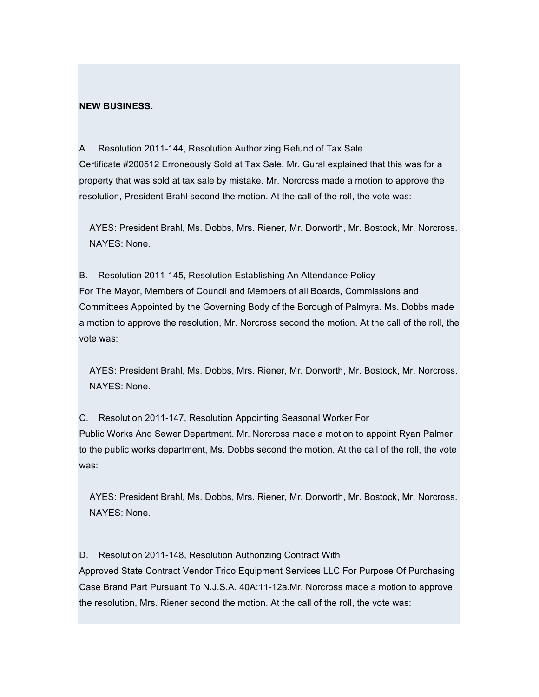## **NEW BUSINESS.**

A. Resolution 2011-144, Resolution Authorizing Refund of Tax Sale Certificate #200512 Erroneously Sold at Tax Sale. Mr. Gural explained that this was for a property that was sold at tax sale by mistake. Mr. Norcross made a motion to approve the resolution, President Brahl second the motion. At the call of the roll, the vote was:

AYES: President Brahl, Ms. Dobbs, Mrs. Riener, Mr. Dorworth, Mr. Bostock, Mr. Norcross. NAYES: None.

B. Resolution 2011-145, Resolution Establishing An Attendance Policy For The Mayor, Members of Council and Members of all Boards, Commissions and Committees Appointed by the Governing Body of the Borough of Palmyra. Ms. Dobbs made a motion to approve the resolution, Mr. Norcross second the motion. At the call of the roll, the vote was:

AYES: President Brahl, Ms. Dobbs, Mrs. Riener, Mr. Dorworth, Mr. Bostock, Mr. Norcross. NAYES: None.

C. Resolution 2011-147, Resolution Appointing Seasonal Worker For Public Works And Sewer Department. Mr. Norcross made a motion to appoint Ryan Palmer to the public works department, Ms. Dobbs second the motion. At the call of the roll, the vote was:

AYES: President Brahl, Ms. Dobbs, Mrs. Riener, Mr. Dorworth, Mr. Bostock, Mr. Norcross. NAYES: None.

D. Resolution 2011-148, Resolution Authorizing Contract With Approved State Contract Vendor Trico Equipment Services LLC For Purpose Of Purchasing Case Brand Part Pursuant To N.J.S.A. 40A:11-12a.Mr. Norcross made a motion to approve the resolution, Mrs. Riener second the motion. At the call of the roll, the vote was: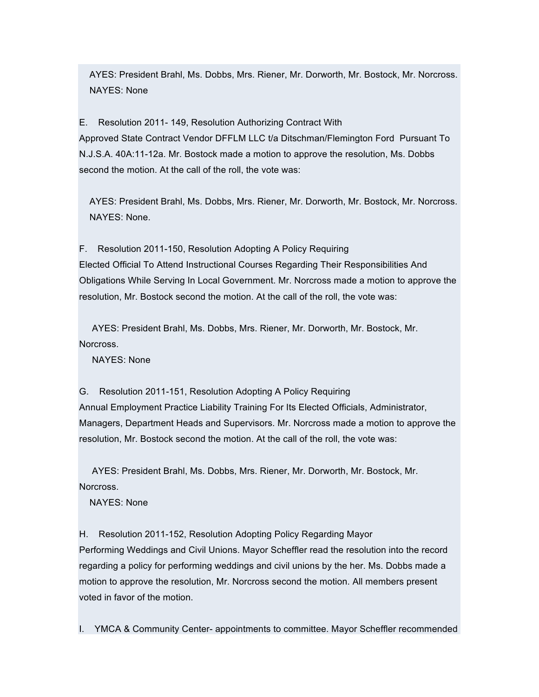AYES: President Brahl, Ms. Dobbs, Mrs. Riener, Mr. Dorworth, Mr. Bostock, Mr. Norcross. NAYES: None

E. Resolution 2011- 149, Resolution Authorizing Contract With Approved State Contract Vendor DFFLM LLC t/a Ditschman/Flemington Ford Pursuant To N.J.S.A. 40A:11-12a. Mr. Bostock made a motion to approve the resolution, Ms. Dobbs second the motion. At the call of the roll, the vote was:

AYES: President Brahl, Ms. Dobbs, Mrs. Riener, Mr. Dorworth, Mr. Bostock, Mr. Norcross. NAYES: None.

F. Resolution 2011-150, Resolution Adopting A Policy Requiring Elected Official To Attend Instructional Courses Regarding Their Responsibilities And Obligations While Serving In Local Government. Mr. Norcross made a motion to approve the resolution, Mr. Bostock second the motion. At the call of the roll, the vote was:

AYES: President Brahl, Ms. Dobbs, Mrs. Riener, Mr. Dorworth, Mr. Bostock, Mr. Norcross.

NAYES: None

G. Resolution 2011-151, Resolution Adopting A Policy Requiring Annual Employment Practice Liability Training For Its Elected Officials, Administrator, Managers, Department Heads and Supervisors. Mr. Norcross made a motion to approve the resolution, Mr. Bostock second the motion. At the call of the roll, the vote was:

AYES: President Brahl, Ms. Dobbs, Mrs. Riener, Mr. Dorworth, Mr. Bostock, Mr. Norcross.

NAYES: None

H. Resolution 2011-152, Resolution Adopting Policy Regarding Mayor Performing Weddings and Civil Unions. Mayor Scheffler read the resolution into the record regarding a policy for performing weddings and civil unions by the her. Ms. Dobbs made a motion to approve the resolution, Mr. Norcross second the motion. All members present voted in favor of the motion.

I. YMCA & Community Center- appointments to committee. Mayor Scheffler recommended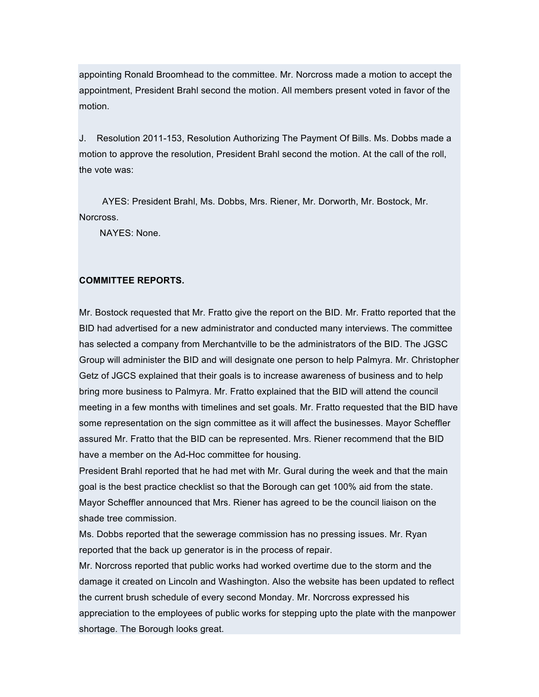appointing Ronald Broomhead to the committee. Mr. Norcross made a motion to accept the appointment, President Brahl second the motion. All members present voted in favor of the motion.

J. Resolution 2011-153, Resolution Authorizing The Payment Of Bills. Ms. Dobbs made a motion to approve the resolution, President Brahl second the motion. At the call of the roll, the vote was:

AYES: President Brahl, Ms. Dobbs, Mrs. Riener, Mr. Dorworth, Mr. Bostock, Mr. Norcross.

NAYES: None.

## **COMMITTEE REPORTS.**

Mr. Bostock requested that Mr. Fratto give the report on the BID. Mr. Fratto reported that the BID had advertised for a new administrator and conducted many interviews. The committee has selected a company from Merchantville to be the administrators of the BID. The JGSC Group will administer the BID and will designate one person to help Palmyra. Mr. Christopher Getz of JGCS explained that their goals is to increase awareness of business and to help bring more business to Palmyra. Mr. Fratto explained that the BID will attend the council meeting in a few months with timelines and set goals. Mr. Fratto requested that the BID have some representation on the sign committee as it will affect the businesses. Mayor Scheffler assured Mr. Fratto that the BID can be represented. Mrs. Riener recommend that the BID have a member on the Ad-Hoc committee for housing.

President Brahl reported that he had met with Mr. Gural during the week and that the main goal is the best practice checklist so that the Borough can get 100% aid from the state. Mayor Scheffler announced that Mrs. Riener has agreed to be the council liaison on the shade tree commission.

Ms. Dobbs reported that the sewerage commission has no pressing issues. Mr. Ryan reported that the back up generator is in the process of repair.

Mr. Norcross reported that public works had worked overtime due to the storm and the damage it created on Lincoln and Washington. Also the website has been updated to reflect the current brush schedule of every second Monday. Mr. Norcross expressed his appreciation to the employees of public works for stepping upto the plate with the manpower shortage. The Borough looks great.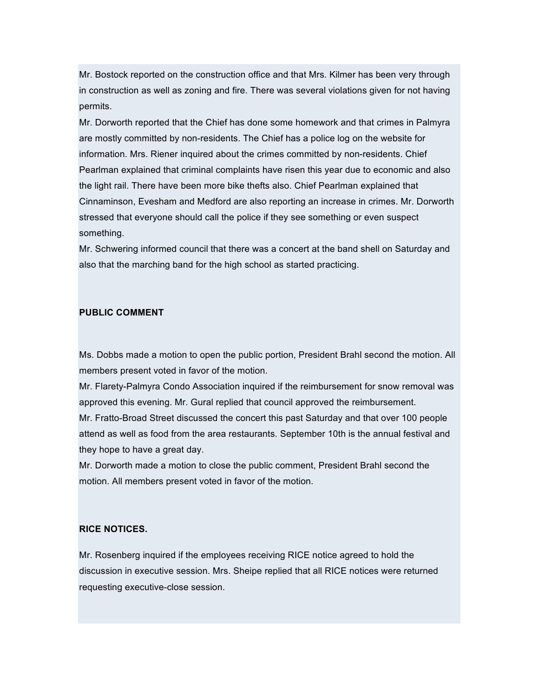Mr. Bostock reported on the construction office and that Mrs. Kilmer has been very through in construction as well as zoning and fire. There was several violations given for not having permits.

Mr. Dorworth reported that the Chief has done some homework and that crimes in Palmyra are mostly committed by non-residents. The Chief has a police log on the website for information. Mrs. Riener inquired about the crimes committed by non-residents. Chief Pearlman explained that criminal complaints have risen this year due to economic and also the light rail. There have been more bike thefts also. Chief Pearlman explained that Cinnaminson, Evesham and Medford are also reporting an increase in crimes. Mr. Dorworth stressed that everyone should call the police if they see something or even suspect something.

Mr. Schwering informed council that there was a concert at the band shell on Saturday and also that the marching band for the high school as started practicing.

### **PUBLIC COMMENT**

Ms. Dobbs made a motion to open the public portion, President Brahl second the motion. All members present voted in favor of the motion.

Mr. Flarety-Palmyra Condo Association inquired if the reimbursement for snow removal was approved this evening. Mr. Gural replied that council approved the reimbursement.

Mr. Fratto-Broad Street discussed the concert this past Saturday and that over 100 people attend as well as food from the area restaurants. September 10th is the annual festival and they hope to have a great day.

Mr. Dorworth made a motion to close the public comment, President Brahl second the motion. All members present voted in favor of the motion.

## **RICE NOTICES.**

Mr. Rosenberg inquired if the employees receiving RICE notice agreed to hold the discussion in executive session. Mrs. Sheipe replied that all RICE notices were returned requesting executive-close session.